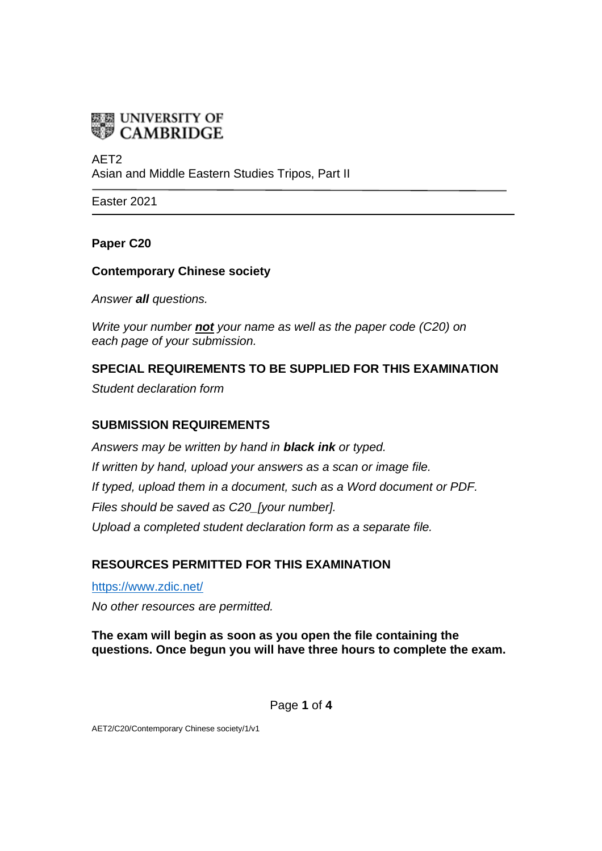

AET2 Asian and Middle Eastern Studies Tripos, Part II

Easter 2021

### **Paper C20**

### **Contemporary Chinese society**

*Answer all questions.*

*Write your number not your name as well as the paper code (C20) on each page of your submission.*

# **SPECIAL REQUIREMENTS TO BE SUPPLIED FOR THIS EXAMINATION**

*Student declaration form*

### **SUBMISSION REQUIREMENTS**

*Answers may be written by hand in black ink or typed. If written by hand, upload your answers as a scan or image file. If typed, upload them in a document, such as a Word document or PDF. Files should be saved as C20\_[your number]. Upload a completed student declaration form as a separate file.*

## **RESOURCES PERMITTED FOR THIS EXAMINATION**

<https://www.zdic.net/> *No other resources are permitted.*

**The exam will begin as soon as you open the file containing the questions. Once begun you will have three hours to complete the exam.**

Page **1** of **4**

AET2/C20/Contemporary Chinese society/1/v1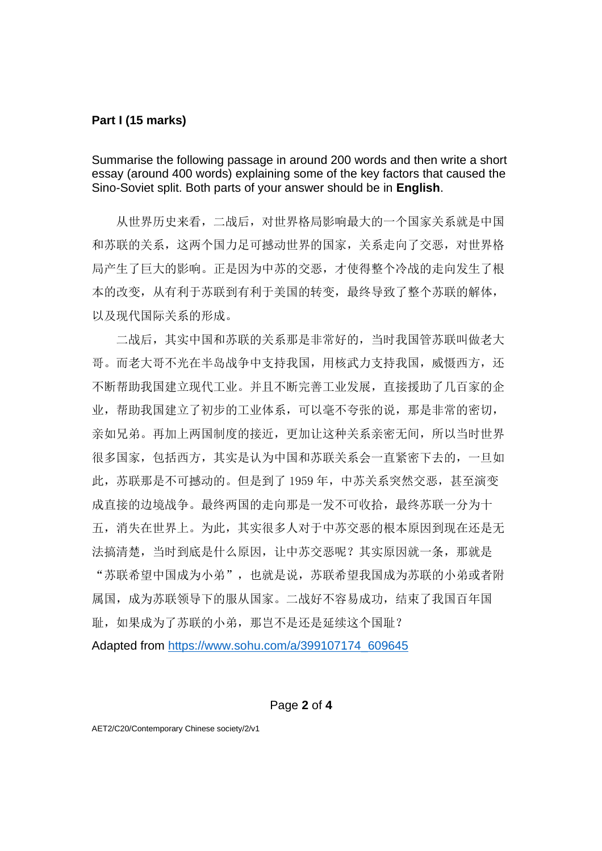### **Part I (15 marks)**

Summarise the following passage in around 200 words and then write a short essay (around 400 words) explaining some of the key factors that caused the Sino-Soviet split. Both parts of your answer should be in **English**.

 从世界历史来看,二战后,对世界格局影响最大的一个国家关系就是中国 和苏联的关系,这两个国力足可撼动世界的国家,关系走向了交恶,对世界格 局产生了巨大的影响。正是因为中苏的交恶,才使得整个冷战的走向发生了根 本的改变,从有利于苏联到有利于美国的转变,最终导致了整个苏联的解体, 以及现代国际关系的形成。

 二战后,其实中国和苏联的关系那是非常好的,当时我国管苏联叫做老大 哥。而老大哥不光在半岛战争中支持我国,用核武力支持我国,威慑西方,还 不断帮助我国建立现代工业。并且不断完善工业发展,直接援助了几百家的企 业,帮助我国建立了初步的工业体系,可以毫不夸张的说,那是非常的密切, 亲如兄弟。再加上两国制度的接近,更加让这种关系亲密无间,所以当时世界 很多国家,包括西方,其实是认为中国和苏联关系会一直紧密下去的,一旦如 此,苏联那是不可撼动的。但是到了1959年,中苏关系突然交恶,甚至演变 成直接的边境战争。最终两国的走向那是一发不可收拾,最终苏联一分为十 五,消失在世界上。为此,其实很多人对于中苏交恶的根本原因到现在还是无 法搞清楚,当时到底是什么原因,让中苏交恶呢?其实原因就一条,那就是 "苏联希望中国成为小弟",也就是说,苏联希望我国成为苏联的小弟或者附 属国,成为苏联领导下的服从国家。二战好不容易成功,结束了我国百年国 耻,如果成为了苏联的小弟,那岂不是还是延续这个国耻? Adapted from [https://www.sohu.com/a/399107174\\_609645](https://www.sohu.com/a/399107174_609645)

#### Page **2** of **4**

AET2/C20/Contemporary Chinese society/2/v1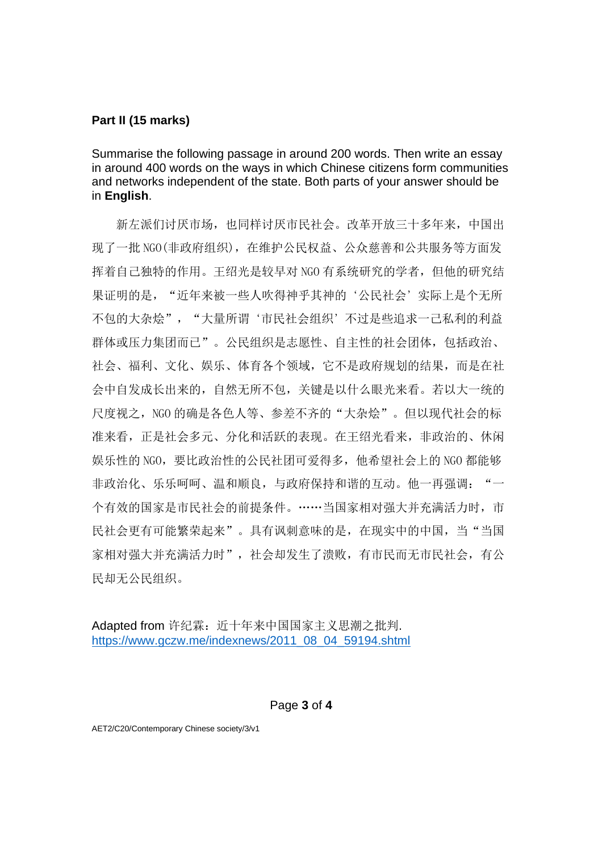### **Part II (15 marks)**

Summarise the following passage in around 200 words. Then write an essay in around 400 words on the ways in which Chinese citizens form communities and networks independent of the state. Both parts of your answer should be in **English**.

新左派们讨厌市场,也同样讨厌市民社会。改革开放三十多年来,中国出 现了一批 NGO(非政府组织),在维护公民权益、公众慈善和公共服务等方面发 挥着自己独特的作用。王绍光是较早对 NGO 有系统研究的学者,但他的研究结 果证明的是, "近年来被一些人吹得神乎其神的'公民社会'实际上是个无所 不包的大杂烩","大量所谓'市民社会组织'不过是些追求一己私利的利益 群体或压力集团而已"。公民组织是志愿性、自主性的社会团体,包括政治、 社会、福利、文化、娱乐、体育各个领域,它不是政府规划的结果,而是在社 会中自发成长出来的,自然无所不包,关键是以什么眼光来看。若以大一统的 尺度视之,NGO 的确是各色人等、参差不齐的"大杂烩"。但以现代社会的标 准来看,正是社会多元、分化和活跃的表现。在王绍光看来,非政治的、休闲 娱乐性的 NGO,要比政治性的公民社团可爱得多,他希望社会上的 NGO 都能够 非政治化、乐乐呵呵、温和顺良,与政府保持和谐的互动。他一再强调: 个有效的国家是市民社会的前提条件。……当国家相对强大并充满活力时,市 民社会更有可能繁荣起来"。具有讽刺意味的是,在现实中的中国,当"当国 家相对强大并充满活力时",社会却发生了溃败,有市民而无市民社会,有公 民却无公民组织。

Adapted from 许纪霖: 近十年来中国国家主义思潮之批判. [https://www.gczw.me/indexnews/2011\\_08\\_04\\_59194.shtml](https://www.gczw.me/indexnews/2011_08_04_59194.shtml)

Page **3** of **4**

AET2/C20/Contemporary Chinese society/3/v1